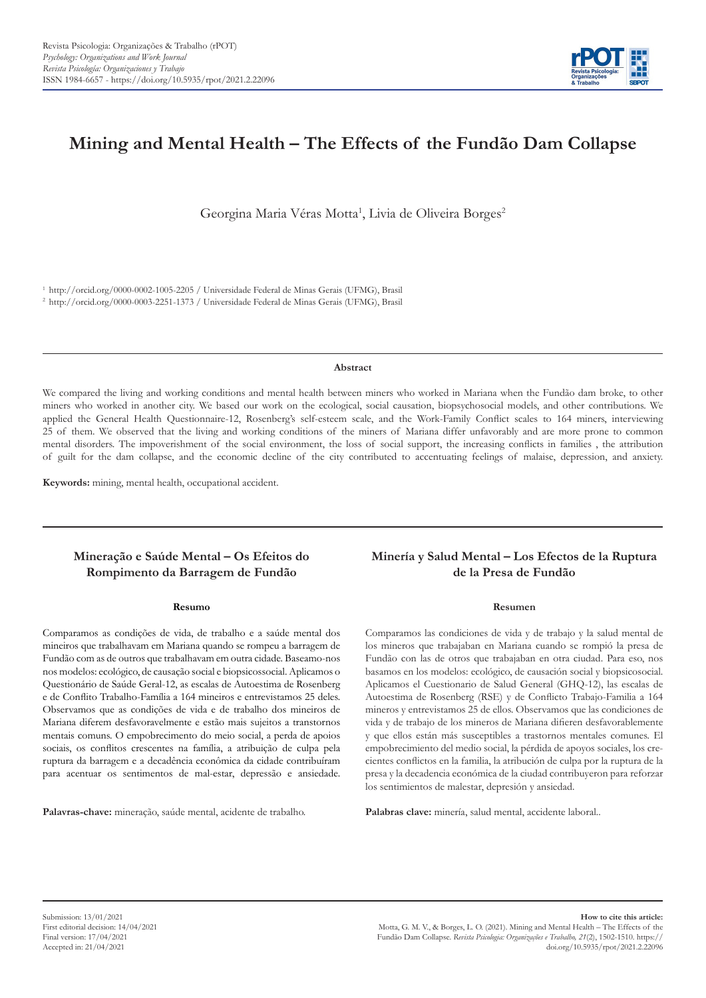

# **Mining and Mental Health – The Effects of the Fundão Dam Collapse**

Georgina Maria Véras Motta<sup>1</sup>, Livia de Oliveira Borges<sup>2</sup>

<sup>1</sup>http://orcid.org/0000-0002-1005-2205 / Universidade Federal de Minas Gerais (UFMG), Brasil <sup>2</sup>http://orcid.org/0000-0003-2251-1373 / Universidade Federal de Minas Gerais (UFMG), Brasil

#### **Abstract**

We compared the living and working conditions and mental health between miners who worked in Mariana when the Fundão dam broke, to other miners who worked in another city. We based our work on the ecological, social causation, biopsychosocial models, and other contributions. We applied the General Health Questionnaire-12, Rosenberg's self-esteem scale, and the Work-Family Conflict scales to 164 miners, interviewing 25 of them. We observed that the living and working conditions of the miners of Mariana differ unfavorably and are more prone to common mental disorders. The impoverishment of the social environment, the loss of social support, the increasing conflicts in families , the attribution of guilt for the dam collapse, and the economic decline of the city contributed to accentuating feelings of malaise, depression, and anxiety.

**Keywords:** mining, mental health, occupational accident.

## **Mineração e Saúde Mental – Os Efeitos do Rompimento da Barragem de Fundão**

#### **Resumo**

Comparamos as condições de vida, de trabalho e a saúde mental dos mineiros que trabalhavam em Mariana quando se rompeu a barragem de Fundão com as de outros que trabalhavam em outra cidade. Baseamo-nos nos modelos: ecológico, de causação social e biopsicossocial. Aplicamos o Questionário de Saúde Geral-12, as escalas de Autoestima de Rosenberg e de Conflito Trabalho-Família a 164 mineiros e entrevistamos 25 deles. Observamos que as condições de vida e de trabalho dos mineiros de Mariana diferem desfavoravelmente e estão mais sujeitos a transtornos mentais comuns. O empobrecimento do meio social, a perda de apoios sociais, os conflitos crescentes na família, a atribuição de culpa pela ruptura da barragem e a decadência econômica da cidade contribuíram para acentuar os sentimentos de mal-estar, depressão e ansiedade.

**Palavras-chave:** mineração, saúde mental, acidente de trabalho.

## **Minería y Salud Mental – Los Efectos de la Ruptura de la Presa de Fundão**

#### **Resumen**

Comparamos las condiciones de vida y de trabajo y la salud mental de los mineros que trabajaban en Mariana cuando se rompió la presa de Fundão con las de otros que trabajaban en otra ciudad. Para eso, nos basamos en los modelos: ecológico, de causación social y biopsicosocial. Aplicamos el Cuestionario de Salud General (GHQ-12), las escalas de Autoestima de Rosenberg (RSE) y de Conflicto Trabajo-Familia a 164 mineros y entrevistamos 25 de ellos. Observamos que las condiciones de vida y de trabajo de los mineros de Mariana difieren desfavorablemente y que ellos están más susceptibles a trastornos mentales comunes. El empobrecimiento del medio social, la pérdida de apoyos sociales, los crecientes conflictos en la familia, la atribución de culpa por la ruptura de la presa y la decadencia económica de la ciudad contribuyeron para reforzar los sentimientos de malestar, depresión y ansiedad.

**Palabras clave:** minería, salud mental, accidente laboral..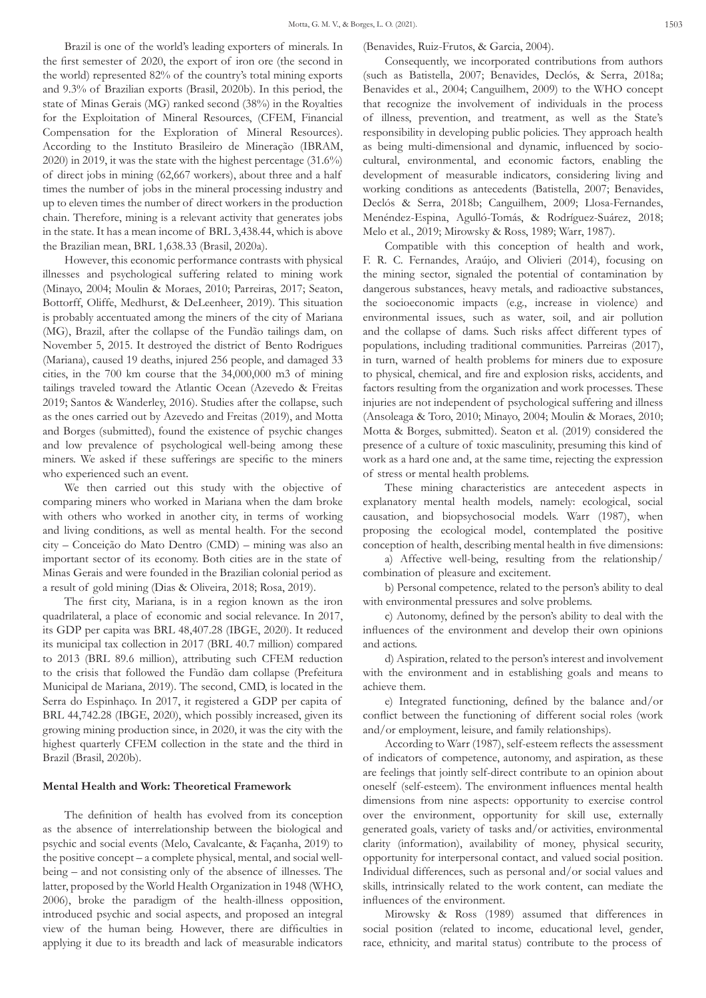Brazil is one of the world's leading exporters of minerals. In the first semester of 2020, the export of iron ore (the second in the world) represented 82% of the country's total mining exports and 9.3% of Brazilian exports (Brasil, 2020b). In this period, the state of Minas Gerais (MG) ranked second (38%) in the Royalties for the Exploitation of Mineral Resources, (CFEM, Financial Compensation for the Exploration of Mineral Resources). According to the Instituto Brasileiro de Mineração (IBRAM, 2020) in 2019, it was the state with the highest percentage (31.6%) of direct jobs in mining (62,667 workers), about three and a half times the number of jobs in the mineral processing industry and up to eleven times the number of direct workers in the production chain. Therefore, mining is a relevant activity that generates jobs in the state. It has a mean income of BRL 3,438.44, which is above the Brazilian mean, BRL 1,638.33 (Brasil, 2020a).

However, this economic performance contrasts with physical illnesses and psychological suffering related to mining work (Minayo, 2004; Moulin & Moraes, 2010; Parreiras, 2017; Seaton, Bottorff, Oliffe, Medhurst, & DeLeenheer, 2019). This situation is probably accentuated among the miners of the city of Mariana (MG), Brazil, after the collapse of the Fundão tailings dam, on November 5, 2015. It destroyed the district of Bento Rodrigues (Mariana), caused 19 deaths, injured 256 people, and damaged 33 cities, in the 700 km course that the 34,000,000 m3 of mining tailings traveled toward the Atlantic Ocean (Azevedo & Freitas 2019; Santos & Wanderley, 2016). Studies after the collapse, such as the ones carried out by Azevedo and Freitas (2019), and Motta and Borges (submitted), found the existence of psychic changes and low prevalence of psychological well-being among these miners. We asked if these sufferings are specific to the miners who experienced such an event.

We then carried out this study with the objective of comparing miners who worked in Mariana when the dam broke with others who worked in another city, in terms of working and living conditions, as well as mental health. For the second city – Conceição do Mato Dentro (CMD) – mining was also an important sector of its economy. Both cities are in the state of Minas Gerais and were founded in the Brazilian colonial period as a result of gold mining (Dias & Oliveira, 2018; Rosa, 2019).

The first city, Mariana, is in a region known as the iron quadrilateral, a place of economic and social relevance. In 2017, its GDP per capita was BRL 48,407.28 (IBGE, 2020). It reduced its municipal tax collection in 2017 (BRL 40.7 million) compared to 2013 (BRL 89.6 million), attributing such CFEM reduction to the crisis that followed the Fundão dam collapse (Prefeitura Municipal de Mariana, 2019). The second, CMD, is located in the Serra do Espinhaço. In 2017, it registered a GDP per capita of BRL 44,742.28 (IBGE, 2020), which possibly increased, given its growing mining production since, in 2020, it was the city with the highest quarterly CFEM collection in the state and the third in Brazil (Brasil, 2020b).

## **Mental Health and Work: Theoretical Framework**

The definition of health has evolved from its conception as the absence of interrelationship between the biological and psychic and social events (Melo, Cavalcante, & Façanha, 2019) to the positive concept – a complete physical, mental, and social wellbeing – and not consisting only of the absence of illnesses. The latter, proposed by the World Health Organization in 1948 (WHO, 2006), broke the paradigm of the health-illness opposition, introduced psychic and social aspects, and proposed an integral view of the human being. However, there are difficulties in applying it due to its breadth and lack of measurable indicators (Benavides, Ruiz-Frutos, & Garcia, 2004).

Consequently, we incorporated contributions from authors (such as Batistella, 2007; Benavides, Declós, & Serra, 2018a; Benavides et al., 2004; Canguilhem, 2009) to the WHO concept that recognize the involvement of individuals in the process of illness, prevention, and treatment, as well as the State's responsibility in developing public policies. They approach health as being multi-dimensional and dynamic, influenced by sociocultural, environmental, and economic factors, enabling the development of measurable indicators, considering living and working conditions as antecedents (Batistella, 2007; Benavides, Declós & Serra, 2018b; Canguilhem, 2009; Llosa-Fernandes, Menéndez-Espina, Agulló-Tomás, & Rodríguez-Suárez, 2018; Melo et al., 2019; Mirowsky & Ross, 1989; Warr, 1987).

Compatible with this conception of health and work, F. R. C. Fernandes, Araújo, and Olivieri (2014), focusing on the mining sector, signaled the potential of contamination by dangerous substances, heavy metals, and radioactive substances, the socioeconomic impacts (e.g., increase in violence) and environmental issues, such as water, soil, and air pollution and the collapse of dams. Such risks affect different types of populations, including traditional communities. Parreiras (2017), in turn, warned of health problems for miners due to exposure to physical, chemical, and fire and explosion risks, accidents, and factors resulting from the organization and work processes. These injuries are not independent of psychological suffering and illness (Ansoleaga & Toro, 2010; Minayo, 2004; Moulin & Moraes, 2010; Motta & Borges, submitted). Seaton et al. (2019) considered the presence of a culture of toxic masculinity, presuming this kind of work as a hard one and, at the same time, rejecting the expression of stress or mental health problems.

These mining characteristics are antecedent aspects in explanatory mental health models, namely: ecological, social causation, and biopsychosocial models. Warr (1987), when proposing the ecological model, contemplated the positive conception of health, describing mental health in five dimensions:

a) Affective well-being, resulting from the relationship/ combination of pleasure and excitement.

b) Personal competence, related to the person's ability to deal with environmental pressures and solve problems.

c) Autonomy, defined by the person's ability to deal with the influences of the environment and develop their own opinions and actions.

d) Aspiration, related to the person's interest and involvement with the environment and in establishing goals and means to achieve them.

e) Integrated functioning, defined by the balance and/or conflict between the functioning of different social roles (work and/or employment, leisure, and family relationships).

According to Warr (1987), self-esteem reflects the assessment of indicators of competence, autonomy, and aspiration, as these are feelings that jointly self-direct contribute to an opinion about oneself (self-esteem). The environment influences mental health dimensions from nine aspects: opportunity to exercise control over the environment, opportunity for skill use, externally generated goals, variety of tasks and/or activities, environmental clarity (information), availability of money, physical security, opportunity for interpersonal contact, and valued social position. Individual differences, such as personal and/or social values and skills, intrinsically related to the work content, can mediate the influences of the environment.

Mirowsky & Ross (1989) assumed that differences in social position (related to income, educational level, gender, race, ethnicity, and marital status) contribute to the process of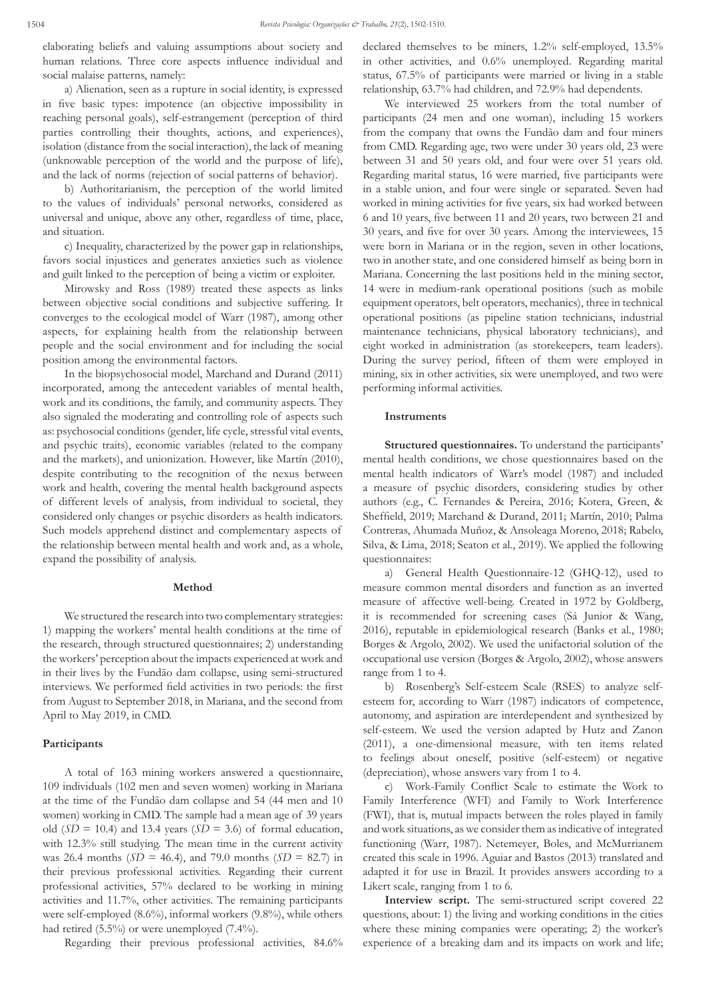elaborating beliefs and valuing assumptions about society and human relations. Three core aspects influence individual and social malaise patterns, namely:

a) Alienation, seen as a rupture in social identity, is expressed in five basic types: impotence (an objective impossibility in reaching personal goals), self-estrangement (perception of third parties controlling their thoughts, actions, and experiences), isolation (distance from the social interaction), the lack of meaning (unknowable perception of the world and the purpose of life), and the lack of norms (rejection of social patterns of behavior).

b) Authoritarianism, the perception of the world limited to the values of individuals' personal networks, considered as universal and unique, above any other, regardless of time, place, and situation.

c) Inequality, characterized by the power gap in relationships, favors social injustices and generates anxieties such as violence and guilt linked to the perception of being a victim or exploiter.

Mirowsky and Ross (1989) treated these aspects as links between objective social conditions and subjective suffering. It converges to the ecological model of Warr (1987), among other aspects, for explaining health from the relationship between people and the social environment and for including the social position among the environmental factors.

In the biopsychosocial model, Marchand and Durand (2011) incorporated, among the antecedent variables of mental health, work and its conditions, the family, and community aspects. They also signaled the moderating and controlling role of aspects such as: psychosocial conditions (gender, life cycle, stressful vital events, and psychic traits), economic variables (related to the company and the markets), and unionization. However, like Martín (2010), despite contributing to the recognition of the nexus between work and health, covering the mental health background aspects of different levels of analysis, from individual to societal, they considered only changes or psychic disorders as health indicators. Such models apprehend distinct and complementary aspects of the relationship between mental health and work and, as a whole, expand the possibility of analysis.

#### **Method**

We structured the research into two complementary strategies: 1) mapping the workers' mental health conditions at the time of the research, through structured questionnaires; 2) understanding the workers' perception about the impacts experienced at work and in their lives by the Fundão dam collapse, using semi-structured interviews. We performed field activities in two periods: the first from August to September 2018, in Mariana, and the second from April to May 2019, in CMD.

#### **Participants**

A total of 163 mining workers answered a questionnaire, 109 individuals (102 men and seven women) working in Mariana at the time of the Fundão dam collapse and 54 (44 men and 10 women) working in CMD. The sample had a mean age of 39 years old  $(SD = 10.4)$  and 13.4 years  $(SD = 3.6)$  of formal education, with 12.3% still studying. The mean time in the current activity was 26.4 months (*SD* = 46.4), and 79.0 months (*SD* = 82.7) in their previous professional activities. Regarding their current professional activities, 57% declared to be working in mining activities and 11.7%, other activities. The remaining participants were self-employed (8.6%), informal workers (9.8%), while others had retired (5.5%) or were unemployed (7.4%).

Regarding their previous professional activities, 84.6%

declared themselves to be miners, 1.2% self-employed, 13.5% in other activities, and 0.6% unemployed. Regarding marital status, 67.5% of participants were married or living in a stable relationship, 63.7% had children, and 72.9% had dependents.

We interviewed 25 workers from the total number of participants (24 men and one woman), including 15 workers from the company that owns the Fundão dam and four miners from CMD. Regarding age, two were under 30 years old, 23 were between 31 and 50 years old, and four were over 51 years old. Regarding marital status, 16 were married, five participants were in a stable union, and four were single or separated. Seven had worked in mining activities for five years, six had worked between 6 and 10 years, five between 11 and 20 years, two between 21 and 30 years, and five for over 30 years. Among the interviewees, 15 were born in Mariana or in the region, seven in other locations, two in another state, and one considered himself as being born in Mariana. Concerning the last positions held in the mining sector, 14 were in medium-rank operational positions (such as mobile equipment operators, belt operators, mechanics), three in technical operational positions (as pipeline station technicians, industrial maintenance technicians, physical laboratory technicians), and eight worked in administration (as storekeepers, team leaders). During the survey period, fifteen of them were employed in mining, six in other activities, six were unemployed, and two were performing informal activities.

#### **Instruments**

**Structured questionnaires.** To understand the participants' mental health conditions, we chose questionnaires based on the mental health indicators of Warr's model (1987) and included a measure of psychic disorders, considering studies by other authors (e.g., C. Fernandes & Pereira, 2016; Kotera, Green, & Sheffield, 2019; Marchand & Durand, 2011; Martín, 2010; Palma Contreras, Ahumada Muñoz, & Ansoleaga Moreno, 2018; Rabelo, Silva, & Lima, 2018; Seaton et al., 2019). We applied the following questionnaires:

a) General Health Questionnaire-12 (GHQ-12), used to measure common mental disorders and function as an inverted measure of affective well-being. Created in 1972 by Goldberg, it is recommended for screening cases (Sá Junior & Wang, 2016), reputable in epidemiological research (Banks et al., 1980; Borges & Argolo, 2002). We used the unifactorial solution of the occupational use version (Borges & Argolo, 2002), whose answers range from 1 to 4.

b) Rosenberg's Self-esteem Scale (RSES) to analyze selfesteem for, according to Warr (1987) indicators of competence, autonomy, and aspiration are interdependent and synthesized by self-esteem. We used the version adapted by Hutz and Zanon (2011), a one-dimensional measure, with ten items related to feelings about oneself, positive (self-esteem) or negative (depreciation), whose answers vary from 1 to 4.

c) Work-Family Conflict Scale to estimate the Work to Family Interference (WFI) and Family to Work Interference (FWI), that is, mutual impacts between the roles played in family and work situations, as we consider them as indicative of integrated functioning (Warr, 1987). Netemeyer, Boles, and McMurrianem created this scale in 1996. Aguiar and Bastos (2013) translated and adapted it for use in Brazil. It provides answers according to a Likert scale, ranging from 1 to 6.

**Interview script.** The semi-structured script covered 22 questions, about: 1) the living and working conditions in the cities where these mining companies were operating; 2) the worker's experience of a breaking dam and its impacts on work and life;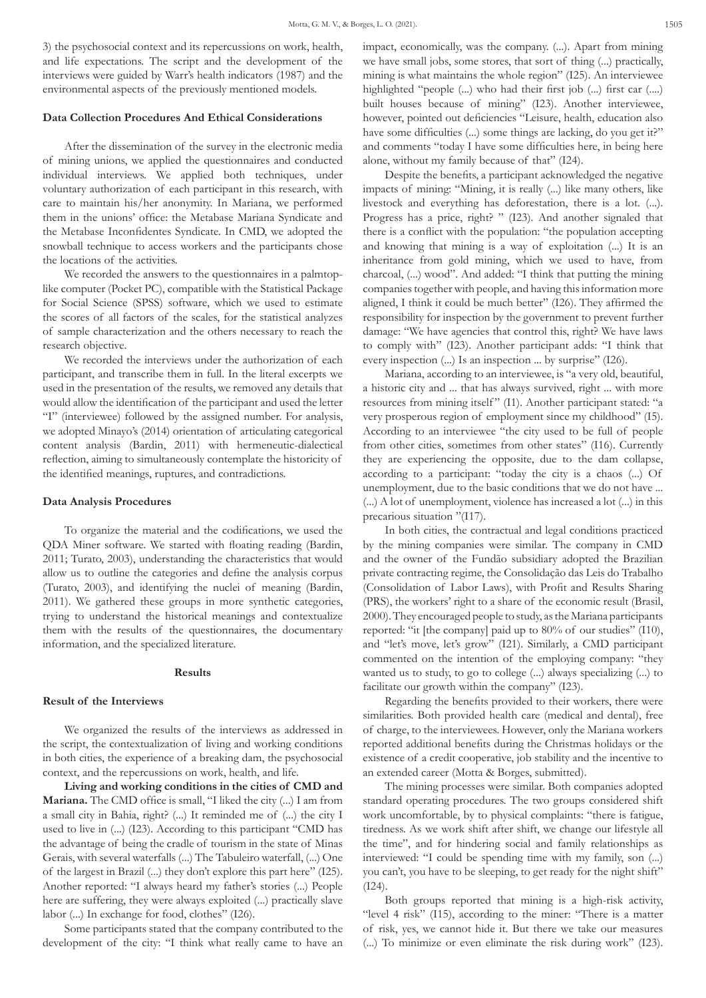3) the psychosocial context and its repercussions on work, health, and life expectations. The script and the development of the interviews were guided by Warr's health indicators (1987) and the environmental aspects of the previously mentioned models.

### **Data Collection Procedures And Ethical Considerations**

After the dissemination of the survey in the electronic media of mining unions, we applied the questionnaires and conducted individual interviews. We applied both techniques, under voluntary authorization of each participant in this research, with care to maintain his/her anonymity. In Mariana, we performed them in the unions' office: the Metabase Mariana Syndicate and the Metabase Inconfidentes Syndicate. In CMD, we adopted the snowball technique to access workers and the participants chose the locations of the activities.

We recorded the answers to the questionnaires in a palmtoplike computer (Pocket PC), compatible with the Statistical Package for Social Science (SPSS) software, which we used to estimate the scores of all factors of the scales, for the statistical analyzes of sample characterization and the others necessary to reach the research objective.

We recorded the interviews under the authorization of each participant, and transcribe them in full. In the literal excerpts we used in the presentation of the results, we removed any details that would allow the identification of the participant and used the letter "I" (interviewee) followed by the assigned number. For analysis, we adopted Minayo's (2014) orientation of articulating categorical content analysis (Bardin, 2011) with hermeneutic-dialectical reflection, aiming to simultaneously contemplate the historicity of the identified meanings, ruptures, and contradictions.

#### **Data Analysis Procedures**

To organize the material and the codifications, we used the QDA Miner software. We started with floating reading (Bardin, 2011; Turato, 2003), understanding the characteristics that would allow us to outline the categories and define the analysis corpus (Turato, 2003), and identifying the nuclei of meaning (Bardin, 2011). We gathered these groups in more synthetic categories, trying to understand the historical meanings and contextualize them with the results of the questionnaires, the documentary information, and the specialized literature.

#### **Results**

#### **Result of the Interviews**

We organized the results of the interviews as addressed in the script, the contextualization of living and working conditions in both cities, the experience of a breaking dam, the psychosocial context, and the repercussions on work, health, and life.

**Living and working conditions in the cities of CMD and Mariana.** The CMD office is small, "I liked the city (...) I am from a small city in Bahia, right? (...) It reminded me of (...) the city I used to live in (...) (I23). According to this participant "CMD has the advantage of being the cradle of tourism in the state of Minas Gerais, with several waterfalls (...) The Tabuleiro waterfall, (...) One of the largest in Brazil (...) they don't explore this part here" (I25). Another reported: "I always heard my father's stories (...) People here are suffering, they were always exploited (...) practically slave labor (...) In exchange for food, clothes" (I26).

Some participants stated that the company contributed to the development of the city: "I think what really came to have an impact, economically, was the company. (...). Apart from mining we have small jobs, some stores, that sort of thing (...) practically, mining is what maintains the whole region" (I25). An interviewee highlighted "people (...) who had their first job (...) first car (....) built houses because of mining" (I23). Another interviewee, however, pointed out deficiencies "Leisure, health, education also have some difficulties (...) some things are lacking, do you get it?" and comments "today I have some difficulties here, in being here alone, without my family because of that" (I24).

Despite the benefits, a participant acknowledged the negative impacts of mining: "Mining, it is really (...) like many others, like livestock and everything has deforestation, there is a lot. (...). Progress has a price, right? " (I23). And another signaled that there is a conflict with the population: "the population accepting and knowing that mining is a way of exploitation (...) It is an inheritance from gold mining, which we used to have, from charcoal, (...) wood". And added: "I think that putting the mining companies together with people, and having this information more aligned, I think it could be much better" (I26). They affirmed the responsibility for inspection by the government to prevent further damage: "We have agencies that control this, right? We have laws to comply with" (I23). Another participant adds: "I think that every inspection (...) Is an inspection ... by surprise" (I26).

Mariana, according to an interviewee, is "a very old, beautiful, a historic city and ... that has always survived, right ... with more resources from mining itself" (I1). Another participant stated: "a very prosperous region of employment since my childhood" (I5). According to an interviewee "the city used to be full of people from other cities, sometimes from other states" (I16). Currently they are experiencing the opposite, due to the dam collapse, according to a participant: "today the city is a chaos (...) Of unemployment, due to the basic conditions that we do not have ... (...) A lot of unemployment, violence has increased a lot (...) in this precarious situation "(I17).

In both cities, the contractual and legal conditions practiced by the mining companies were similar. The company in CMD and the owner of the Fundão subsidiary adopted the Brazilian private contracting regime, the Consolidação das Leis do Trabalho (Consolidation of Labor Laws), with Profit and Results Sharing (PRS), the workers' right to a share of the economic result (Brasil, 2000). They encouraged people to study, as the Mariana participants reported: "it [the company] paid up to 80% of our studies" (I10), and "let's move, let's grow" (I21). Similarly, a CMD participant commented on the intention of the employing company: "they wanted us to study, to go to college (...) always specializing (...) to facilitate our growth within the company" (I23).

Regarding the benefits provided to their workers, there were similarities. Both provided health care (medical and dental), free of charge, to the interviewees. However, only the Mariana workers reported additional benefits during the Christmas holidays or the existence of a credit cooperative, job stability and the incentive to an extended career (Motta & Borges, submitted).

The mining processes were similar. Both companies adopted standard operating procedures. The two groups considered shift work uncomfortable, by to physical complaints: "there is fatigue, tiredness. As we work shift after shift, we change our lifestyle all the time", and for hindering social and family relationships as interviewed: "I could be spending time with my family, son (...) you can't, you have to be sleeping, to get ready for the night shift" (I24).

Both groups reported that mining is a high-risk activity, "level 4 risk" (I15), according to the miner: "There is a matter of risk, yes, we cannot hide it. But there we take our measures (...) To minimize or even eliminate the risk during work" (I23).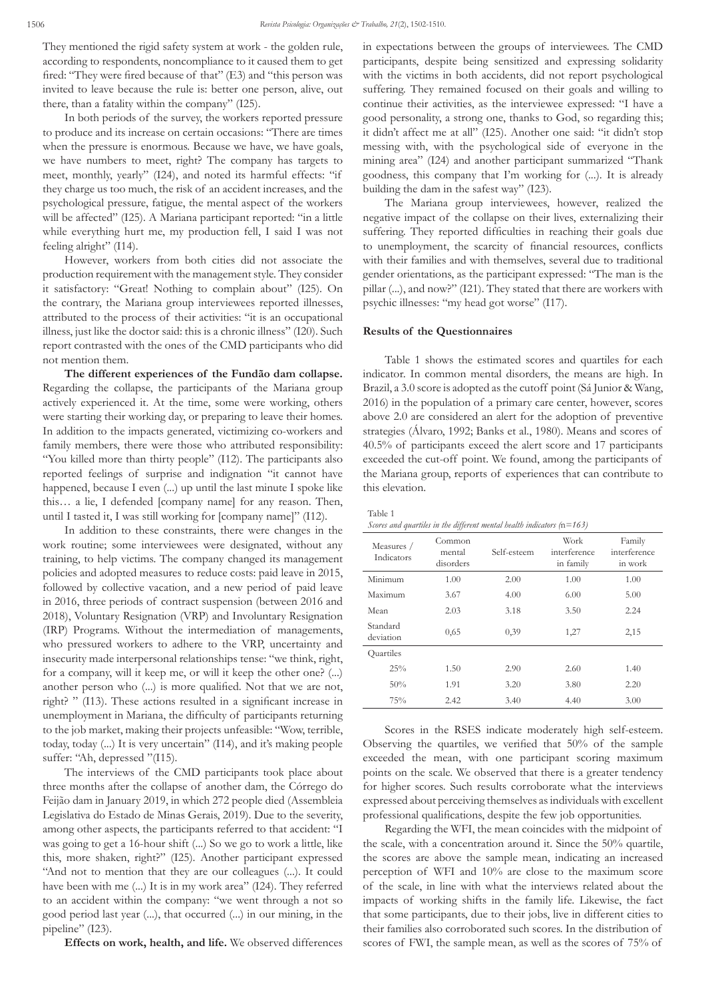They mentioned the rigid safety system at work - the golden rule, according to respondents, noncompliance to it caused them to get fired: "They were fired because of that" (E3) and "this person was invited to leave because the rule is: better one person, alive, out there, than a fatality within the company" (I25).

In both periods of the survey, the workers reported pressure to produce and its increase on certain occasions: "There are times when the pressure is enormous. Because we have, we have goals, we have numbers to meet, right? The company has targets to meet, monthly, yearly" (I24), and noted its harmful effects: "if they charge us too much, the risk of an accident increases, and the psychological pressure, fatigue, the mental aspect of the workers will be affected" (I25). A Mariana participant reported: "in a little while everything hurt me, my production fell, I said I was not feeling alright" (I14).

However, workers from both cities did not associate the production requirement with the management style. They consider it satisfactory: "Great! Nothing to complain about" (I25). On the contrary, the Mariana group interviewees reported illnesses, attributed to the process of their activities: "it is an occupational illness, just like the doctor said: this is a chronic illness" (I20). Such report contrasted with the ones of the CMD participants who did not mention them.

**The different experiences of the Fundão dam collapse.** Regarding the collapse, the participants of the Mariana group actively experienced it. At the time, some were working, others were starting their working day, or preparing to leave their homes. In addition to the impacts generated, victimizing co-workers and family members, there were those who attributed responsibility: "You killed more than thirty people" (I12). The participants also reported feelings of surprise and indignation "it cannot have happened, because I even (...) up until the last minute I spoke like this… a lie, I defended [company name] for any reason. Then, until I tasted it, I was still working for [company name]" (I12).

In addition to these constraints, there were changes in the work routine; some interviewees were designated, without any training, to help victims. The company changed its management policies and adopted measures to reduce costs: paid leave in 2015, followed by collective vacation, and a new period of paid leave in 2016, three periods of contract suspension (between 2016 and 2018), Voluntary Resignation (VRP) and Involuntary Resignation (IRP) Programs. Without the intermediation of managements, who pressured workers to adhere to the VRP, uncertainty and insecurity made interpersonal relationships tense: "we think, right, for a company, will it keep me, or will it keep the other one? (...) another person who (...) is more qualified. Not that we are not, right? " (I13). These actions resulted in a significant increase in unemployment in Mariana, the difficulty of participants returning to the job market, making their projects unfeasible: "Wow, terrible, today, today (...) It is very uncertain" (I14), and it's making people suffer: "Ah, depressed "(I15).

The interviews of the CMD participants took place about three months after the collapse of another dam, the Córrego do Feijão dam in January 2019, in which 272 people died (Assembleia Legislativa do Estado de Minas Gerais, 2019). Due to the severity, among other aspects, the participants referred to that accident: "I was going to get a 16-hour shift (...) So we go to work a little, like this, more shaken, right?" (I25). Another participant expressed "And not to mention that they are our colleagues (...). It could have been with me (...) It is in my work area" (I24). They referred to an accident within the company: "we went through a not so good period last year (...), that occurred (...) in our mining, in the pipeline" (I23).

**Effects on work, health, and life.** We observed differences

in expectations between the groups of interviewees. The CMD participants, despite being sensitized and expressing solidarity with the victims in both accidents, did not report psychological suffering. They remained focused on their goals and willing to continue their activities, as the interviewee expressed: "I have a good personality, a strong one, thanks to God, so regarding this; it didn't affect me at all" (I25). Another one said: "it didn't stop messing with, with the psychological side of everyone in the mining area" (I24) and another participant summarized "Thank goodness, this company that I'm working for (...). It is already building the dam in the safest way" (I23).

The Mariana group interviewees, however, realized the negative impact of the collapse on their lives, externalizing their suffering. They reported difficulties in reaching their goals due to unemployment, the scarcity of financial resources, conflicts with their families and with themselves, several due to traditional gender orientations, as the participant expressed: "The man is the pillar (...), and now?" (I21). They stated that there are workers with psychic illnesses: "my head got worse" (I17).

### **Results of the Questionnaires**

Table 1 shows the estimated scores and quartiles for each indicator. In common mental disorders, the means are high. In Brazil, a 3.0 score is adopted as the cutoff point (Sá Junior & Wang, 2016) in the population of a primary care center, however, scores above 2.0 are considered an alert for the adoption of preventive strategies (Álvaro, 1992; Banks et al., 1980). Means and scores of 40.5% of participants exceed the alert score and 17 participants exceeded the cut-off point. We found, among the participants of the Mariana group, reports of experiences that can contribute to this elevation.

Table 1

*Scores and quartiles in the different mental health indicators (*n*=163)*

| Measures /<br>Indicators | Common<br>mental<br>disorders | Self-esteem | Work<br>interference<br>in family | Family<br>interference<br>in work |
|--------------------------|-------------------------------|-------------|-----------------------------------|-----------------------------------|
| Minimum                  | 1.00                          | 2.00        | 1.00                              | 1.00                              |
| Maximum                  | 3.67                          | 4.00        | 6.00                              | 5.00                              |
| Mean                     | 2.03                          | 3.18        | 3.50                              | 2.24                              |
| Standard<br>deviation    | 0,65                          | 0,39        | 1,27                              | 2,15                              |
| Quartiles                |                               |             |                                   |                                   |
| 25%                      | 1.50                          | 2.90        | 2.60                              | 1.40                              |
| 50%                      | 1.91                          | 3.20        | 3.80                              | 2.20                              |
| 75%                      | 2.42                          | 3.40        | 4.40                              | 3.00                              |

Scores in the RSES indicate moderately high self-esteem. Observing the quartiles, we verified that 50% of the sample exceeded the mean, with one participant scoring maximum points on the scale. We observed that there is a greater tendency for higher scores. Such results corroborate what the interviews expressed about perceiving themselves as individuals with excellent professional qualifications, despite the few job opportunities.

Regarding the WFI, the mean coincides with the midpoint of the scale, with a concentration around it. Since the 50% quartile, the scores are above the sample mean, indicating an increased perception of WFI and 10% are close to the maximum score of the scale, in line with what the interviews related about the impacts of working shifts in the family life. Likewise, the fact that some participants, due to their jobs, live in different cities to their families also corroborated such scores. In the distribution of scores of FWI, the sample mean, as well as the scores of 75% of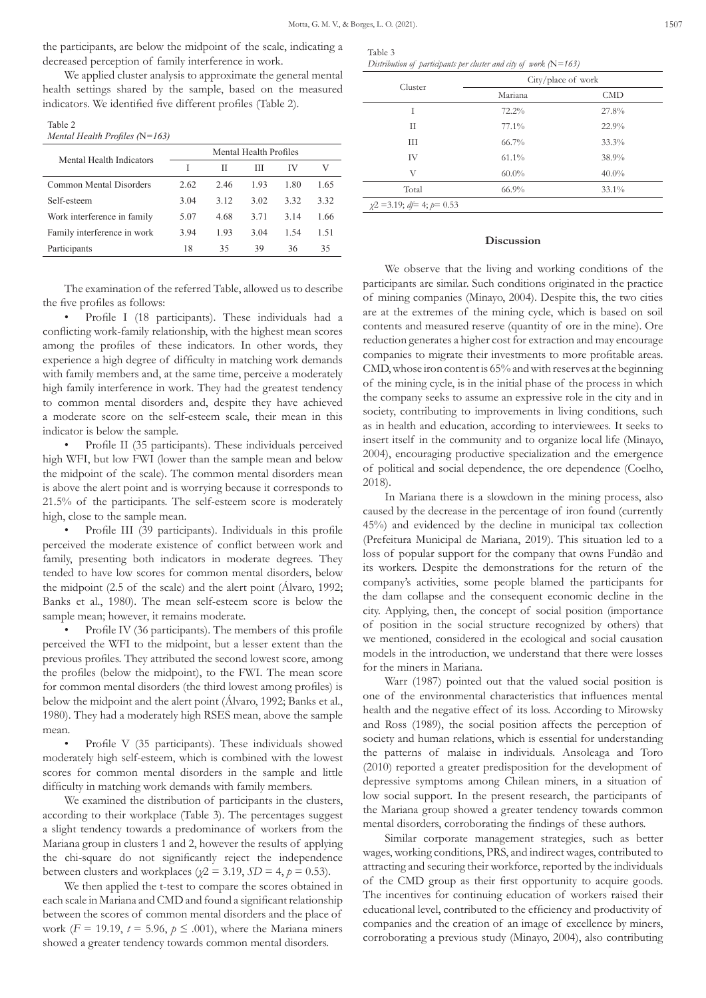the participants, are below the midpoint of the scale, indicating a decreased perception of family interference in work.

We applied cluster analysis to approximate the general mental health settings shared by the sample, based on the measured indicators. We identified five different profiles (Table 2).

| I |  |
|---|--|
|   |  |

*Mental Health Profiles (*N*=163)*

| Mental Health Indicators    | Mental Health Profiles |      |      |      |      |
|-----------------------------|------------------------|------|------|------|------|
|                             |                        | Н    | Ш    | IV   | V    |
| Common Mental Disorders     | 2.62                   | 2.46 | 1.93 | 1.80 | 1.65 |
| Self-esteem                 | 3.04                   | 3.12 | 3.02 | 3.32 | 3.32 |
| Work interference in family | 5.07                   | 4.68 | 3.71 | 3.14 | 1.66 |
| Family interference in work | 3.94                   | 1.93 | 3.04 | 1.54 | 1.51 |
| Participants                | 18                     | 35   | 39   | 36   | 35   |

The examination of the referred Table, allowed us to describe the five profiles as follows:

• Profile I (18 participants). These individuals had a conflicting work-family relationship, with the highest mean scores among the profiles of these indicators. In other words, they experience a high degree of difficulty in matching work demands with family members and, at the same time, perceive a moderately high family interference in work. They had the greatest tendency to common mental disorders and, despite they have achieved a moderate score on the self-esteem scale, their mean in this indicator is below the sample.

• Profile II (35 participants). These individuals perceived high WFI, but low FWI (lower than the sample mean and below the midpoint of the scale). The common mental disorders mean is above the alert point and is worrying because it corresponds to 21.5% of the participants. The self-esteem score is moderately high, close to the sample mean.

• Profile III (39 participants). Individuals in this profile perceived the moderate existence of conflict between work and family, presenting both indicators in moderate degrees. They tended to have low scores for common mental disorders, below the midpoint (2.5 of the scale) and the alert point (Álvaro, 1992; Banks et al., 1980). The mean self-esteem score is below the sample mean; however, it remains moderate.

• Profile IV (36 participants). The members of this profile perceived the WFI to the midpoint, but a lesser extent than the previous profiles. They attributed the second lowest score, among the profiles (below the midpoint), to the FWI. The mean score for common mental disorders (the third lowest among profiles) is below the midpoint and the alert point (Álvaro, 1992; Banks et al., 1980). They had a moderately high RSES mean, above the sample mean.

Profile V (35 participants). These individuals showed moderately high self-esteem, which is combined with the lowest scores for common mental disorders in the sample and little difficulty in matching work demands with family members.

We examined the distribution of participants in the clusters, according to their workplace (Table 3). The percentages suggest a slight tendency towards a predominance of workers from the Mariana group in clusters 1 and 2, however the results of applying the chi-square do not significantly reject the independence between clusters and workplaces ( $\chi$ 2 = 3.19, *SD* = 4, *p* = 0.53).

We then applied the t-test to compare the scores obtained in each scale in Mariana and CMD and found a significant relationship between the scores of common mental disorders and the place of work ( $F = 19.19$ ,  $t = 5.96$ ,  $p \leq .001$ ), where the Mariana miners showed a greater tendency towards common mental disorders.

| Table 3                                                             |  |
|---------------------------------------------------------------------|--|
| Distribution of participants per cluster and city of work $(N=163)$ |  |

| Cluster                                | City/place of work |           |  |
|----------------------------------------|--------------------|-----------|--|
|                                        | Mariana            | $\rm CMD$ |  |
| T                                      | 72.2%              | 27.8%     |  |
| П                                      | 77.1%              | 22.9%     |  |
| Ш                                      | $66.7\%$           | 33.3%     |  |
| IV                                     | $61.1\%$           | 38.9%     |  |
| V                                      | $60.0\%$           | $40.0\%$  |  |
| Total                                  | 66.9%              | $33.1\%$  |  |
| $\chi$ 2 = 3.19; $d\neq$ 4; $p$ = 0.53 |                    |           |  |

#### **Discussion**

We observe that the living and working conditions of the participants are similar. Such conditions originated in the practice of mining companies (Minayo, 2004). Despite this, the two cities are at the extremes of the mining cycle, which is based on soil contents and measured reserve (quantity of ore in the mine). Ore reduction generates a higher cost for extraction and may encourage companies to migrate their investments to more profitable areas. CMD, whose iron content is 65% and with reserves at the beginning of the mining cycle, is in the initial phase of the process in which the company seeks to assume an expressive role in the city and in society, contributing to improvements in living conditions, such as in health and education, according to interviewees. It seeks to insert itself in the community and to organize local life (Minayo, 2004), encouraging productive specialization and the emergence of political and social dependence, the ore dependence (Coelho, 2018).

In Mariana there is a slowdown in the mining process, also caused by the decrease in the percentage of iron found (currently 45%) and evidenced by the decline in municipal tax collection (Prefeitura Municipal de Mariana, 2019). This situation led to a loss of popular support for the company that owns Fundão and its workers. Despite the demonstrations for the return of the company's activities, some people blamed the participants for the dam collapse and the consequent economic decline in the city. Applying, then, the concept of social position (importance of position in the social structure recognized by others) that we mentioned, considered in the ecological and social causation models in the introduction, we understand that there were losses for the miners in Mariana.

Warr (1987) pointed out that the valued social position is one of the environmental characteristics that influences mental health and the negative effect of its loss. According to Mirowsky and Ross (1989), the social position affects the perception of society and human relations, which is essential for understanding the patterns of malaise in individuals. Ansoleaga and Toro (2010) reported a greater predisposition for the development of depressive symptoms among Chilean miners, in a situation of low social support. In the present research, the participants of the Mariana group showed a greater tendency towards common mental disorders, corroborating the findings of these authors.

Similar corporate management strategies, such as better wages, working conditions, PRS, and indirect wages, contributed to attracting and securing their workforce, reported by the individuals of the CMD group as their first opportunity to acquire goods. The incentives for continuing education of workers raised their educational level, contributed to the efficiency and productivity of companies and the creation of an image of excellence by miners, corroborating a previous study (Minayo, 2004), also contributing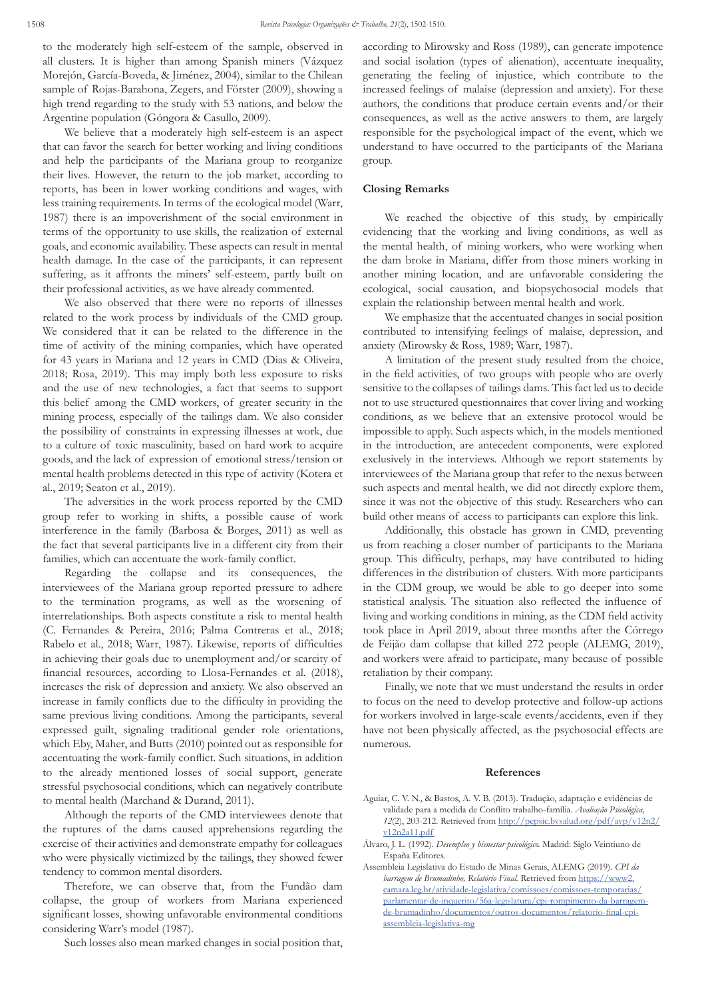to the moderately high self-esteem of the sample, observed in all clusters. It is higher than among Spanish miners (Vázquez Morejón, García-Boveda, & Jiménez, 2004), similar to the Chilean sample of Rojas-Barahona, Zegers, and Förster (2009), showing a high trend regarding to the study with 53 nations, and below the Argentine population (Góngora & Casullo, 2009).

We believe that a moderately high self-esteem is an aspect that can favor the search for better working and living conditions and help the participants of the Mariana group to reorganize their lives. However, the return to the job market, according to reports, has been in lower working conditions and wages, with less training requirements. In terms of the ecological model (Warr, 1987) there is an impoverishment of the social environment in terms of the opportunity to use skills, the realization of external goals, and economic availability. These aspects can result in mental health damage. In the case of the participants, it can represent suffering, as it affronts the miners' self-esteem, partly built on their professional activities, as we have already commented.

We also observed that there were no reports of illnesses related to the work process by individuals of the CMD group. We considered that it can be related to the difference in the time of activity of the mining companies, which have operated for 43 years in Mariana and 12 years in CMD (Dias & Oliveira, 2018; Rosa, 2019). This may imply both less exposure to risks and the use of new technologies, a fact that seems to support this belief among the CMD workers, of greater security in the mining process, especially of the tailings dam. We also consider the possibility of constraints in expressing illnesses at work, due to a culture of toxic masculinity, based on hard work to acquire goods, and the lack of expression of emotional stress/tension or mental health problems detected in this type of activity (Kotera et al., 2019; Seaton et al., 2019).

The adversities in the work process reported by the CMD group refer to working in shifts, a possible cause of work interference in the family (Barbosa & Borges, 2011) as well as the fact that several participants live in a different city from their families, which can accentuate the work-family conflict.

Regarding the collapse and its consequences, the interviewees of the Mariana group reported pressure to adhere to the termination programs, as well as the worsening of interrelationships. Both aspects constitute a risk to mental health (C. Fernandes & Pereira, 2016; Palma Contreras et al., 2018; Rabelo et al., 2018; Warr, 1987). Likewise, reports of difficulties in achieving their goals due to unemployment and/or scarcity of financial resources, according to Llosa-Fernandes et al. (2018), increases the risk of depression and anxiety. We also observed an increase in family conflicts due to the difficulty in providing the same previous living conditions. Among the participants, several expressed guilt, signaling traditional gender role orientations, which Eby, Maher, and Butts (2010) pointed out as responsible for accentuating the work-family conflict. Such situations, in addition to the already mentioned losses of social support, generate stressful psychosocial conditions, which can negatively contribute to mental health (Marchand & Durand, 2011).

Although the reports of the CMD interviewees denote that the ruptures of the dams caused apprehensions regarding the exercise of their activities and demonstrate empathy for colleagues who were physically victimized by the tailings, they showed fewer tendency to common mental disorders.

Therefore, we can observe that, from the Fundão dam collapse, the group of workers from Mariana experienced significant losses, showing unfavorable environmental conditions considering Warr's model (1987).

Such losses also mean marked changes in social position that,

according to Mirowsky and Ross (1989), can generate impotence and social isolation (types of alienation), accentuate inequality, generating the feeling of injustice, which contribute to the increased feelings of malaise (depression and anxiety). For these authors, the conditions that produce certain events and/or their consequences, as well as the active answers to them, are largely responsible for the psychological impact of the event, which we understand to have occurred to the participants of the Mariana group.

### **Closing Remarks**

We reached the objective of this study, by empirically evidencing that the working and living conditions, as well as the mental health, of mining workers, who were working when the dam broke in Mariana, differ from those miners working in another mining location, and are unfavorable considering the ecological, social causation, and biopsychosocial models that explain the relationship between mental health and work.

We emphasize that the accentuated changes in social position contributed to intensifying feelings of malaise, depression, and anxiety (Mirowsky & Ross, 1989; Warr, 1987).

A limitation of the present study resulted from the choice, in the field activities, of two groups with people who are overly sensitive to the collapses of tailings dams. This fact led us to decide not to use structured questionnaires that cover living and working conditions, as we believe that an extensive protocol would be impossible to apply. Such aspects which, in the models mentioned in the introduction, are antecedent components, were explored exclusively in the interviews. Although we report statements by interviewees of the Mariana group that refer to the nexus between such aspects and mental health, we did not directly explore them, since it was not the objective of this study. Researchers who can build other means of access to participants can explore this link.

Additionally, this obstacle has grown in CMD, preventing us from reaching a closer number of participants to the Mariana group. This difficulty, perhaps, may have contributed to hiding differences in the distribution of clusters. With more participants in the CDM group, we would be able to go deeper into some statistical analysis. The situation also reflected the influence of living and working conditions in mining, as the CDM field activity took place in April 2019, about three months after the Córrego de Feijão dam collapse that killed 272 people (ALEMG, 2019), and workers were afraid to participate, many because of possible retaliation by their company.

Finally, we note that we must understand the results in order to focus on the need to develop protective and follow-up actions for workers involved in large-scale events/accidents, even if they have not been physically affected, as the psychosocial effects are numerous.

#### **References**

- Aguiar, C. V. N., & Bastos, A. V. B. (2013). Tradução, adaptação e evidências de validade para a medida de Conflito trabalho-família. *Avaliação Psicológica, 12*(2), 203-212. Retrieved from [http://pepsic.bvsalud.org/pdf/avp/v12n2/](http://pepsic.bvsalud.org/pdf/avp/v12n2/v12n2a11.pdf) [v12n2a11.pdf](http://pepsic.bvsalud.org/pdf/avp/v12n2/v12n2a11.pdf)
- Álvaro, J. L. (1992). *Desempleo y bienestar psicológico.* Madrid: Siglo Veintiuno de España Editores.
- Assembleia Legislativa do Estado de Minas Gerais, ALEMG (2019). *CPI da*  barragem de Brumadinho, Relatório Final. Retrieved from [https://www2.](https://www2.camara.leg.br/atividade-legislativa/comissoes/comissoes-temporarias/parlamentar-de-inquerito/56a-legislatura/cpi-rompimento-da-barragem-de-brumadinho/documentos/outros-documentos/relatorio-final-cpi-assembleia-legislativa-mg) [camara.leg.br/atividade-legislativa/comissoes/comissoes-temporarias/](https://www2.camara.leg.br/atividade-legislativa/comissoes/comissoes-temporarias/parlamentar-de-inquerito/56a-legislatura/cpi-rompimento-da-barragem-de-brumadinho/documentos/outros-documentos/relatorio-final-cpi-assembleia-legislativa-mg) [parlamentar-de-inquerito/56a-legislatura/cpi-rompimento-da-barragem](https://www2.camara.leg.br/atividade-legislativa/comissoes/comissoes-temporarias/parlamentar-de-inquerito/56a-legislatura/cpi-rompimento-da-barragem-de-brumadinho/documentos/outros-documentos/relatorio-final-cpi-assembleia-legislativa-mg)[de-brumadinho/documentos/outros-documentos/relatorio-final-cpi](https://www2.camara.leg.br/atividade-legislativa/comissoes/comissoes-temporarias/parlamentar-de-inquerito/56a-legislatura/cpi-rompimento-da-barragem-de-brumadinho/documentos/outros-documentos/relatorio-final-cpi-assembleia-legislativa-mg)[assembleia-legislativa-mg](https://www2.camara.leg.br/atividade-legislativa/comissoes/comissoes-temporarias/parlamentar-de-inquerito/56a-legislatura/cpi-rompimento-da-barragem-de-brumadinho/documentos/outros-documentos/relatorio-final-cpi-assembleia-legislativa-mg)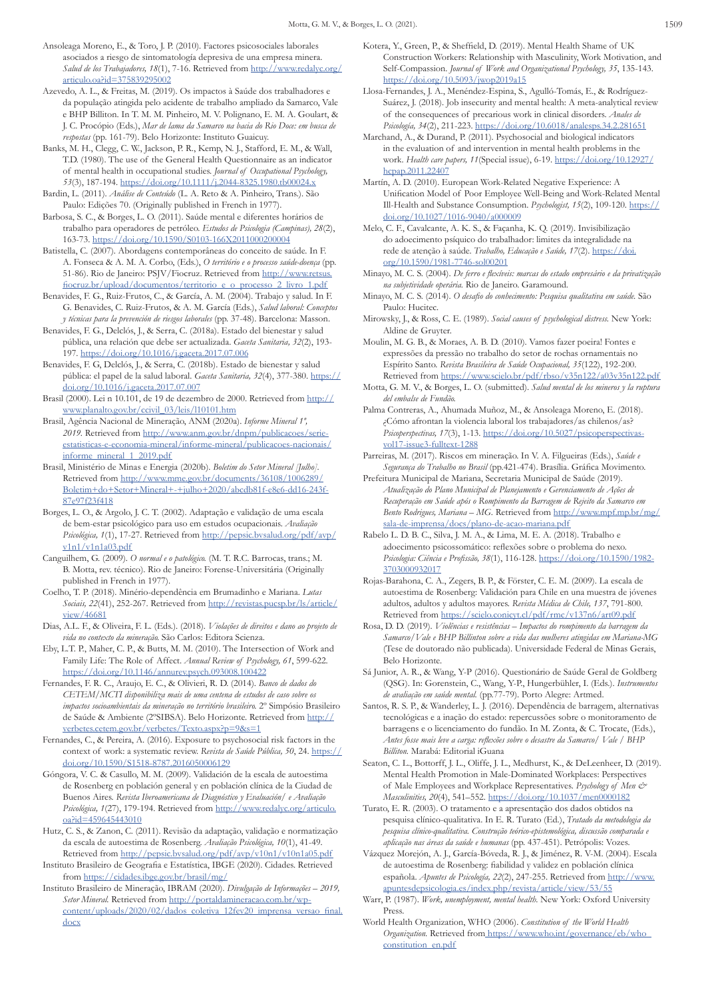- Ansoleaga Moreno, E., & Toro, J. P. (2010). Factores psicosociales laborales asociados a riesgo de sintomatología depresiva de una empresa minera. *Salud de los Trabajadores, 18*(1), 7-16. Retrieved from [http://www.redalyc.org/](http://www.redalyc.org/articulo.oa?id=375839295002) [articulo.oa?id=375839295002](http://www.redalyc.org/articulo.oa?id=375839295002)
- Azevedo, A. L., & Freitas, M. (2019). Os impactos à Saúde dos trabalhadores e da população atingida pelo acidente de trabalho ampliado da Samarco, Vale e BHP Billiton. In T. M. M. Pinheiro, M. V. Polignano, E. M. A. Goulart, & J. C. Procópio (Eds.), *Mar de lama da Samarco na bacia do Rio Doce: em busca de respostas* (pp. 161-79). Belo Horizonte: Instituto Guaicuy.
- Banks, M. H., Clegg, C. W., Jackson, P. R., Kemp, N. J., Stafford, E. M., & Wall, T.D. (1980). The use of the General Health Questionnaire as an indicator of mental health in occupational studies. *Journal of Occupational Psychology, 53*(3), 187-194. [https://doi.org/10.1111/j.2044-8325.1980.tb00024.x](https://doi.org/10.1111/j.2044-8325.1980.tb00024.x )
- Bardin, L. (2011). *Análise de Conteúdo* (L. A. Reto & A. Pinheiro, Trans.). São Paulo: Edições 70. (Originally published in French in 1977).
- Barbosa, S. C., & Borges, L. O. (2011). Saúde mental e diferentes horários de trabalho para operadores de petróleo. *Estudos de Psicologia (Campinas), 28*(2), 163-73.<https://doi.org/10.1590/S0103-166X2011000200004>
- Batistella, C. (2007). Abordagens contemporâneas do conceito de saúde. In F. A. Fonseca & A. M. A. Corbo, (Eds.), *O território e o processo saúde-doença* (pp. 51-86). Rio de Janeiro: PSJV/Fiocruz. Retrieved from [http://www.retsus.](http://www.retsus.fiocruz.br/upload/documentos/territorio_e_o_processo_2_livro_1.pdf ) [fiocruz.br/upload/documentos/territorio\\_e\\_o\\_processo\\_2\\_livro\\_1.pdf](http://www.retsus.fiocruz.br/upload/documentos/territorio_e_o_processo_2_livro_1.pdf )
- Benavides, F. G., Ruiz-Frutos, C., & García, A. M. (2004). Trabajo y salud. In F. G. Benavides, C. Ruiz-Frutos, & A. M. García (Eds.), *Salud laboral: Conceptos y técnicas para la prevención de riesgos laborales* (pp. 37-48). Barcelona: Masson.
- Benavides, F. G., Delclós, J., & Serra, C. (2018a). Estado del bienestar y salud pública, una relación que debe ser actualizada. *Gaceta Sanitaria, 32*(2), 193- 197.<https://doi.org/10.1016/j.gaceta.2017.07.006>
- Benavides, F. G, Delclós, J., & Serra, C. (2018b). Estado de bienestar y salud pública: el papel de la salud laboral. *Gaceta Sanitaria, 32*(4), 377-380. [https://](https://doi.org/10.1016/j.gaceta.2017.07.007 ) [doi.org/10.1016/j.gaceta.2017.07.007](https://doi.org/10.1016/j.gaceta.2017.07.007 )
- Brasil (2000). Lei n 10.101, de 19 de dezembro de 2000. Retrieved from [http://](http://www.planalto.gov.br/ccivil_03/leis/l10101.htm ) [www.planalto.gov.br/ccivil\\_03/leis/l10101.htm](http://www.planalto.gov.br/ccivil_03/leis/l10101.htm )
- Brasil, Agência Nacional de Mineração, ANM (2020a). *Informe Mineral 1º,*  2019. Retrieved from [http://www.anm.gov.br/dnpm/publicacoes/serie](http://www.anm.gov.br/dnpm/publicacoes/serie-estatisticas-e-economia-mineral/informe-mineral/publicacoes-nacionais/informe_mineral_1_2019.pdf)[estatisticas-e-economia-mineral/informe-mineral/publicacoes-nacionais/](http://www.anm.gov.br/dnpm/publicacoes/serie-estatisticas-e-economia-mineral/informe-mineral/publicacoes-nacionais/informe_mineral_1_2019.pdf) [informe\\_mineral\\_1\\_2019.pdf](http://www.anm.gov.br/dnpm/publicacoes/serie-estatisticas-e-economia-mineral/informe-mineral/publicacoes-nacionais/informe_mineral_1_2019.pdf)
- Brasil, Ministério de Minas e Energia (2020b). *Boletim do Setor Mineral [Julho].*  Retrieved from [http://www.mme.gov.br/documents/36108/1006289/](http://www.mme.gov.br/documents/36108/1006289/Boletim+do+Setor+Mineral+-+julho+2020/abcdb81f-e8e6-dd16-243f-87e97f23f418 ) [Boletim+do+Setor+Mineral+-+julho+2020/abcdb81f-e8e6-dd16-243f-](http://www.mme.gov.br/documents/36108/1006289/Boletim+do+Setor+Mineral+-+julho+2020/abcdb81f-e8e6-dd16-243f-87e97f23f418 )[87e97f23f418](http://www.mme.gov.br/documents/36108/1006289/Boletim+do+Setor+Mineral+-+julho+2020/abcdb81f-e8e6-dd16-243f-87e97f23f418 )
- Borges, L. O., & Argolo, J. C. T. (2002). Adaptação e validação de uma escala de bem-estar psicológico para uso em estudos ocupacionais. *Avaliação Psicológica, 1*(1), 17-27. Retrieved from [http://pepsic.bvsalud.org/pdf/avp/](http://pepsic.bvsalud.org/pdf/avp/v1n1/v1n1a03.pdf) [v1n1/v1n1a03.pdf](http://pepsic.bvsalud.org/pdf/avp/v1n1/v1n1a03.pdf)
- Canguilhem, G. (2009). *O normal e o patológico.* (M. T. R.C. Barrocas, trans.; M. B. Motta, rev. técnico). Rio de Janeiro: Forense-Universitária (Originally published in French in 1977).
- Coelho, T. P. (2018). Minério-dependência em Brumadinho e Mariana. *Lutas Sociais, 22*(41), 252-267. Retrieved from [http://revistas.pucsp.br/ls/article/](http://revistas.pucsp.br/ls/article/view/46681) [view/46681](http://revistas.pucsp.br/ls/article/view/46681)
- Dias, A.L. F., & Oliveira, F. L. (Eds.). (2018). *Violações de direitos e dano ao projeto de vida no contexto da mineração.* São Carlos: Editora Scienza.
- Eby, L.T. P., Maher, C. P., & Butts, M. M. (2010). The Intersection of Work and Family Life: The Role of Affect. *Annual Review of Psychology, 61*, 599-622. [https://doi.org/10.1146/annurev.psych.093008.100422](https://doi.org/10.1146/annurev.psych.093008.100422 )
- Fernandes, F. R. C., Araujo, E. C., & Olivieri, R. D. (2014). *Banco de dados do CETEM/MCTI disponibiliza mais de uma centena de estudos de caso sobre os impactos socioambientais da mineração no território brasileiro.* 2º Simpósio Brasileiro de Saúde & Ambiente (2ºSIBSA). Belo Horizonte. Retrieved from [http://](http://verbetes.cetem.gov.br/verbetes/Texto.aspx?p=9&s=1 ) [verbetes.cetem.gov.br/verbetes/Texto.aspx?p=9&s=1](http://verbetes.cetem.gov.br/verbetes/Texto.aspx?p=9&s=1 )
- Fernandes, C., & Pereira, A. (2016). Exposure to psychosocial risk factors in the context of work: a systematic review. *Revista de Saúde Pública, 50*, 24. [https://](https://doi.org/10.1590/S1518-8787.2016050006129 ) [doi.org/10.1590/S1518-8787.2016050006129](https://doi.org/10.1590/S1518-8787.2016050006129 )
- Góngora, V. C. & Casullo, M. M. (2009). Validación de la escala de autoestima de Rosenberg en población general y en población clínica de la Ciudad de Buenos Aires. *Revista Iberoamericana de Diagnóstico y Evaluación/ e Avaliação Psicológica, 1*(27), 179-194. Retrieved from [http://www.redalyc.org/articulo.](http://www.redalyc.org/articulo.oa?id=459645443010) [oa?id=459645443010](http://www.redalyc.org/articulo.oa?id=459645443010)
- Hutz, C. S., & Zanon, C. (2011). Revisão da adaptação, validação e normatização da escala de autoestima de Rosenberg. *Avaliação Psicológica, 10*(1), 41-49. Retrieved from <http://pepsic.bvsalud.org/pdf/avp/v10n1/v10n1a05.pdf>
- Instituto Brasileiro de Geografia e Estatística, IBGE (2020). Cidades. Retrieved from <https://cidades.ibge.gov.br/brasil/mg/>
- Instituto Brasileiro de Mineração, IBRAM (2020). *Divulgação de Informações 2019, Setor Mineral.* Retrieved from [http://portaldamineracao.com.br/wp](http://portaldamineracao.com.br/wp-content/uploads/2020/02/dados_coletiva_12fev20_imprensa_versao_final.docx )[content/uploads/2020/02/dados\\_coletiva\\_12fev20\\_imprensa\\_versao\\_final.](http://portaldamineracao.com.br/wp-content/uploads/2020/02/dados_coletiva_12fev20_imprensa_versao_final.docx ) [docx](http://portaldamineracao.com.br/wp-content/uploads/2020/02/dados_coletiva_12fev20_imprensa_versao_final.docx )
- Kotera, Y., Green, P., & Sheffield, D. (2019). Mental Health Shame of UK Construction Workers: Relationship with Masculinity, Work Motivation, and Self-Compassion. *Journal of Work and Organizational Psychology, 35*, 135-143. <https://doi.org/10.5093/jwop2019a15>
- Llosa-Fernandes, J. A., Menéndez-Espina, S., Agulló-Tomás, E., & Rodríguez-Suárez, J. (2018). Job insecurity and mental health: A meta-analytical review of the consequences of precarious work in clinical disorders. *Anales de Psicología, 34*(2), 211-223. <https://doi.org/10.6018/analesps.34.2.281651>
- Marchand, A., & Durand, P. (2011). Psychosocial and biological indicators in the evaluation of and intervention in mental health problems in the work. *Health care papers, 11*(Special issue), 6-19. [https://doi.org/10.12927/](https://doi.org/10.12927/hcpap.2011.22407) [hcpap.2011.22407](https://doi.org/10.12927/hcpap.2011.22407)
- Martín, A. D. (2010). European Work-Related Negative Experience: A Unification Model of Poor Employee Well-Being and Work-Related Mental Ill-Health and Substance Consumption. *Psychologist, 15*(2), 109-120. [https://](https://doi.org/10.1027/1016-9040/a000009 ) [doi.org/10.1027/1016-9040/a000009](https://doi.org/10.1027/1016-9040/a000009 )
- Melo, C. F., Cavalcante, A. K. S., & Façanha, K. Q. (2019). Invisibilização do adoecimento psíquico do trabalhador: limites da integralidade na rede de atenção à saúde. *Trabalho, Educação e Saúde, 17*(2). [https://doi.](https://doi.org/10.1590/1981-7746-sol00201 ) [org/10.1590/1981-7746-sol00201](https://doi.org/10.1590/1981-7746-sol00201 )
- Minayo, M. C. S. (2004). *De ferro e flexíveis: marcas do estado empresário e da privatização na subjetividade operária.* Rio de Janeiro. Garamound.
- Minayo, M. C. S. (2014). *O desafio do conhecimento: Pesquisa qualitativa em saúde.* São Paulo: Hucitec.
- Mirowsky, J., & Ross, C. E. (1989). *Social causes of psychological distress.* New York: Aldine de Gruyter.
- Moulin, M. G. B., & Moraes, A. B. D. (2010). Vamos fazer poeira! Fontes e expressões da pressão no trabalho do setor de rochas ornamentais no Espírito Santo. *Revista Brasileira de Saúde Ocupacional, 35*(122), 192-200. Retrieved from [https://www.scielo.br/pdf/rbso/v35n122/a03v35n122.pdf](https://www.scielo.br/pdf/rbso/v35n122/a03v35n122.pdf )
- Motta, G. M. V., & Borges, L. O. (submitted). *Salud mental de los mineros y la ruptura del embalse de Fundão.*
- Palma Contreras, A., Ahumada Muñoz, M., & Ansoleaga Moreno, E. (2018). ¿Cómo afrontan la violencia laboral los trabajadores/as chilenos/as? *Psicoperspectivas, 17*(3), 1-13. [https://doi.org/10.5027/psicoperspectivas](https://doi.org/10.5027/psicoperspectivas-vol17-issue3-fulltext-1288 )[vol17-issue3-fulltext-1288](https://doi.org/10.5027/psicoperspectivas-vol17-issue3-fulltext-1288 )
- Parreiras, M. (2017). Riscos em mineração. In V. A. Filgueiras (Eds.), *Saúde e Segurança do Trabalho no Brasil* (pp.421-474). Brasília. Gráfica Movimento.
- Prefeitura Municipal de Mariana, Secretaria Municipal de Saúde (2019). *Atualização do Plano Municipal de Planejamento e Gerenciamento de Ações de Recuperação em Saúde após o Rompimento da Barragem de Rejeito da Samarco em Bento Rodrigues, Mariana – MG.* Retrieved from [http://www.mpf.mp.br/mg/](http://www.mpf.mp.br/mg/sala-de-imprensa/docs/plano-de-acao-mariana.pdf) [sala-de-imprensa/docs/plano-de-acao-mariana.pdf](http://www.mpf.mp.br/mg/sala-de-imprensa/docs/plano-de-acao-mariana.pdf)
- Rabelo L. D. B. C., Silva, J. M. A., & Lima, M. E. A. (2018). Trabalho e adoecimento psicossomático: reflexões sobre o problema do nexo. *Psicologia: Ciência e Profissão, 38*(1), 116-128. [https://doi.org/10.1590/1982-](https://doi.org/10.1590/1982-3703000932017) [3703000932017](https://doi.org/10.1590/1982-3703000932017)
- Rojas-Barahona, C. A., Zegers, B. P., & Förster, C. E. M. (2009). La escala de autoestima de Rosenberg: Validación para Chile en una muestra de jóvenes adultos, adultos y adultos mayores. *Revista Médica de Chile, 137*, 791-800. Retrieved from <https://scielo.conicyt.cl/pdf/rmc/v137n6/art09.pdf>
- Rosa, D. D. (2019). *Violências e resistências Impactos do rompimento da barragem da Samarco/Vale e BHP Billinton sobre a vida das mulheres atingidas em Mariana-MG*  (Tese de doutorado não publicada). Universidade Federal de Minas Gerais, Belo Horizonte.
- Sá Junior, A. R., & Wang, Y-P (2016). Questionário de Saúde Geral de Goldberg (QSG). In: Gorenstein, C., Wang, Y-P., Hungerbühler, I. (Eds.). *Instrumentos de avaliação em saúde mental.* (pp.77-79). Porto Alegre: Artmed.
- Santos, R. S. P., & Wanderley, L. J. (2016). Dependência de barragem, alternativas tecnológicas e a inação do estado: repercussões sobre o monitoramento de barragens e o licenciamento do fundão. In M. Zonta, & C. Trocate, (Eds.), *Antes fosse mais leve a carga: reflexões sobre o desastre da Samarco/ Vale / BHP Billiton.* Marabá: Editorial iGuana
- Seaton, C. L., Bottorff, J. L., Oliffe, J. L., Medhurst, K., & DeLeenheer, D. (2019). Mental Health Promotion in Male-Dominated Workplaces: Perspectives of Male Employees and Workplace Representatives. *Psychology of Men & Masculinities, 20*(4), 541–552. [https://doi.org/10.1037/men0000182](https://doi.org/10.1037/men0000182 )
- Turato, E. R. (2003). O tratamento e a apresentação dos dados obtidos na pesquisa clínico-qualitativa. In E. R. Turato (Ed.), *Tratado da metodologia da pesquisa clínico-qualitativa. Construção teórico-epistemológica, discussão comparada e aplicação nas áreas da saúde e humanas* (pp. 437-451). Petrópolis: Vozes.
- Vázquez Morejón, A. J., García-Bóveda, R. J., & Jiménez, R. V-M. (2004). Escala de autoestima de Rosenberg: fiabilidad y validez en población clínica española. *Apuntes de Psicología*, 22(2), 247-255. Retrieved from http://ww [apuntesdepsicologia.es/index.php/revista/article/view/53/55](http://www.apuntesdepsicologia.es/index.php/revista/article/view/53/55 )
- Warr, P. (1987). *Work, unemployment, mental health.* New York: Oxford University Press.
- World Health Organization, WHO (2006). *Constitution of the World Health Organization.* Retrieved from [https://www.who.int/governance/eb/who\\_]( https://www.who.int/governance/eb/who_constitution_en.pdf) [constitution\\_en.pdf]( https://www.who.int/governance/eb/who_constitution_en.pdf)